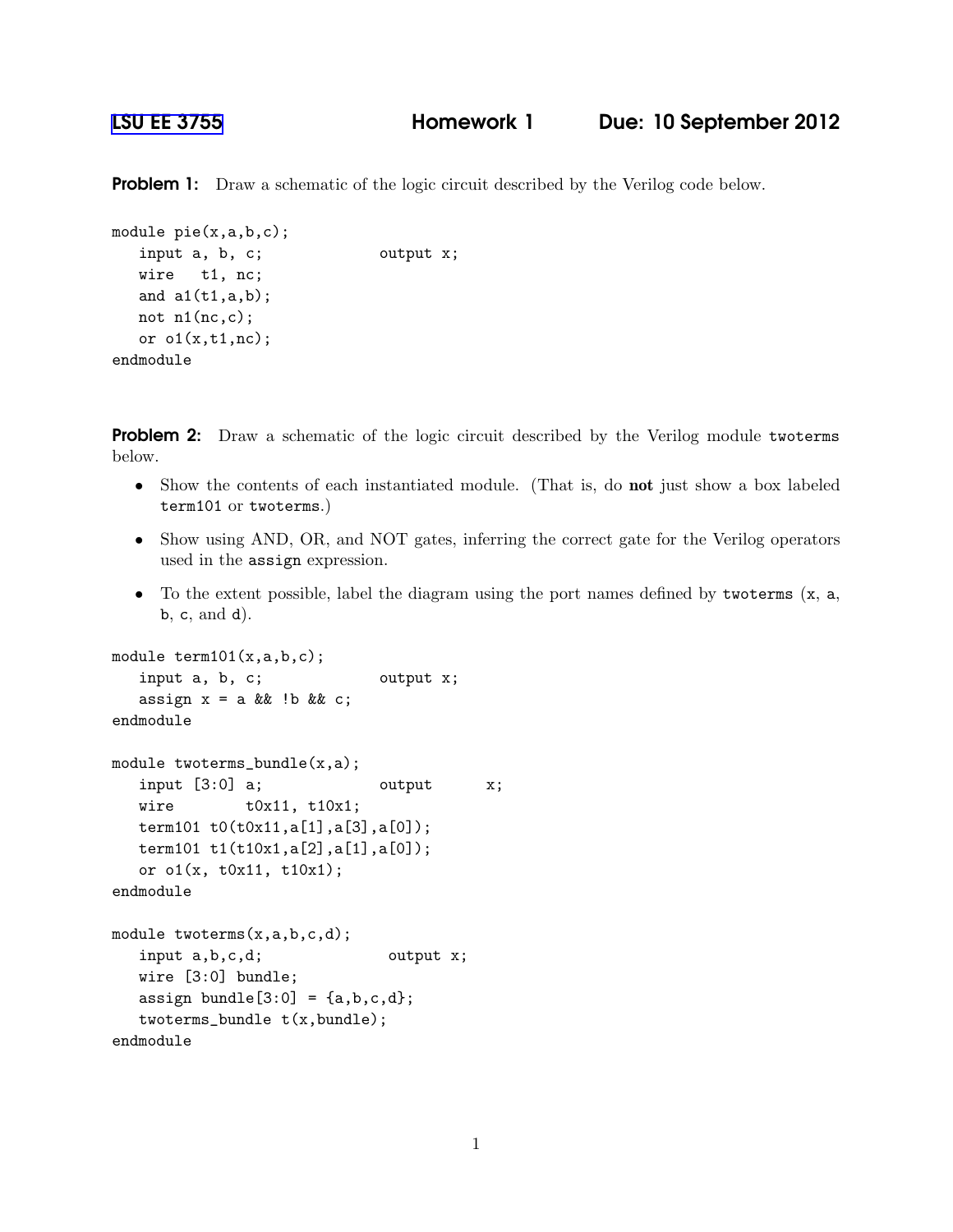**Problem 1:** Draw a schematic of the logic circuit described by the Verilog code below.

```
module pie(x,a,b,c);
  input a, b, c; output x;
  wire t1, nc;
  and a1(t1,a,b);
  not n1(nc,c);
  or o1(x,t1,nc);
endmodule
```
**Problem 2:** Draw a schematic of the logic circuit described by the Verilog module twoterms below.

- Show the contents of each instantiated module. (That is, do not just show a box labeled term101 or twoterms.)
- Show using AND, OR, and NOT gates, inferring the correct gate for the Verilog operators used in the assign expression.
- To the extent possible, label the diagram using the port names defined by two terms  $(x, a,$ b, c, and d).

```
module term101(x,a,b,c);
   input a, b, c; b output x;
  assign x = a \&\&\;!b \&\;c;
endmodule
module twoterms_bundle(x,a);
  input [3:0] a; \qquad \qquad output \qquad x;
  wire t0x11, t10x1;
  term101 t0(t0x11,a[1],a[3],a[0]);
  term101 t1(t10x1,a[2],a[1],a[0]);
  or o1(x, t0x11, t10x1);
endmodule
module twoterms(x,a,b,c,d);
   input a,b,c,d; butput x;
  wire [3:0] bundle;
  assign bundle[3:0] = \{a,b,c,d\};twoterms_bundle t(x,bundle);
endmodule
```